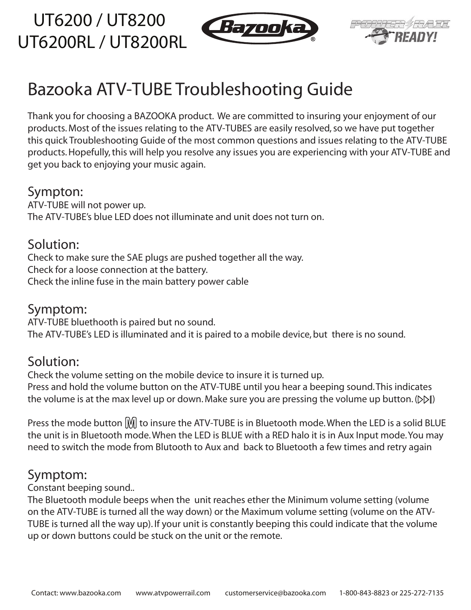UT6200 / UT8200 UT6200RL / UT8200RL





# Bazooka ATV-TUBE Troubleshooting Guide

Thank you for choosing a BAZOOKA product. We are committed to insuring your enjoyment of our products. Most of the issues relating to the ATV-TUBES are easily resolved, so we have put together this quick Troubleshooting Guide of the most common questions and issues relating to the ATV-TUBE products. Hopefully, this will help you resolve any issues you are experiencing with your ATV-TUBE and get you back to enjoying your music again.

#### Sympton:

ATV-TUBE will not power up. The ATV-TUBE's blue LED does not illuminate and unit does not turn on.

## Solution:

Check to make sure the SAE plugs are pushed together all the way. Check for a loose connection at the battery. Check the inline fuse in the main battery power cable

#### Symptom:

ATV-TUBE bluethooth is paired but no sound. The ATV-TUBE's LED is illuminated and it is paired to a mobile device, but there is no sound.

### Solution:

Check the volume setting on the mobile device to insure it is turned up. Press and hold the volume button on the ATV-TUBE until you hear a beeping sound. This indicates the volume is at the max level up or down. Make sure you are pressing the volume up button.  $(D \triangleright \mathbb{I})$ 

Press the mode button  $\mathbb M$  to insure the ATV-TUBE is in Bluetooth mode. When the LED is a solid BLUE the unit is in Bluetooth mode. When the LED is BLUE with a RED halo it is in Aux Input mode. You may need to switch the mode from Blutooth to Aux and back to Bluetooth a few times and retry again

### Symptom:

Constant beeping sound..

The Bluetooth module beeps when the unit reaches ether the Minimum volume setting (volume on the ATV-TUBE is turned all the way down) or the Maximum volume setting (volume on the ATV-TUBE is turned all the way up). If your unit is constantly beeping this could indicate that the volume up or down buttons could be stuck on the unit or the remote.